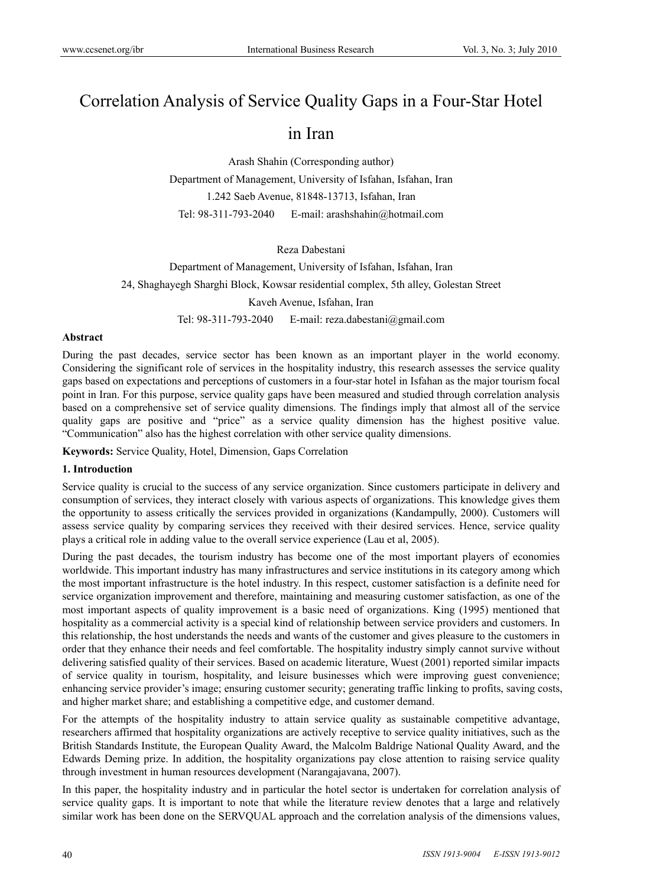# Correlation Analysis of Service Quality Gaps in a Four-Star Hotel

## in Iran

Arash Shahin (Corresponding author) Department of Management, University of Isfahan, Isfahan, Iran 1.242 Saeb Avenue, 81848-13713, Isfahan, Iran Tel: 98-311-793-2040 E-mail: arashshahin@hotmail.com

Reza Dabestani

Department of Management, University of Isfahan, Isfahan, Iran 24, Shaghayegh Sharghi Block, Kowsar residential complex, 5th alley, Golestan Street Kaveh Avenue, Isfahan, Iran Tel: 98-311-793-2040 E-mail: reza.dabestani@gmail.com

#### **Abstract**

During the past decades, service sector has been known as an important player in the world economy. Considering the significant role of services in the hospitality industry, this research assesses the service quality gaps based on expectations and perceptions of customers in a four-star hotel in Isfahan as the major tourism focal point in Iran. For this purpose, service quality gaps have been measured and studied through correlation analysis based on a comprehensive set of service quality dimensions. The findings imply that almost all of the service quality gaps are positive and "price" as a service quality dimension has the highest positive value. "Communication" also has the highest correlation with other service quality dimensions.

**Keywords:** Service Quality, Hotel, Dimension, Gaps Correlation

#### **1. Introduction**

Service quality is crucial to the success of any service organization. Since customers participate in delivery and consumption of services, they interact closely with various aspects of organizations. This knowledge gives them the opportunity to assess critically the services provided in organizations (Kandampully, 2000). Customers will assess service quality by comparing services they received with their desired services. Hence, service quality plays a critical role in adding value to the overall service experience (Lau et al, 2005).

During the past decades, the tourism industry has become one of the most important players of economies worldwide. This important industry has many infrastructures and service institutions in its category among which the most important infrastructure is the hotel industry. In this respect, customer satisfaction is a definite need for service organization improvement and therefore, maintaining and measuring customer satisfaction, as one of the most important aspects of quality improvement is a basic need of organizations. King (1995) mentioned that hospitality as a commercial activity is a special kind of relationship between service providers and customers. In this relationship, the host understands the needs and wants of the customer and gives pleasure to the customers in order that they enhance their needs and feel comfortable. The hospitality industry simply cannot survive without delivering satisfied quality of their services. Based on academic literature, Wuest (2001) reported similar impacts of service quality in tourism, hospitality, and leisure businesses which were improving guest convenience; enhancing service provider's image; ensuring customer security; generating traffic linking to profits, saving costs, and higher market share; and establishing a competitive edge, and customer demand.

For the attempts of the hospitality industry to attain service quality as sustainable competitive advantage, researchers affirmed that hospitality organizations are actively receptive to service quality initiatives, such as the British Standards Institute, the European Quality Award, the Malcolm Baldrige National Quality Award, and the Edwards Deming prize. In addition, the hospitality organizations pay close attention to raising service quality through investment in human resources development (Narangajavana, 2007).

In this paper, the hospitality industry and in particular the hotel sector is undertaken for correlation analysis of service quality gaps. It is important to note that while the literature review denotes that a large and relatively similar work has been done on the SERVQUAL approach and the correlation analysis of the dimensions values,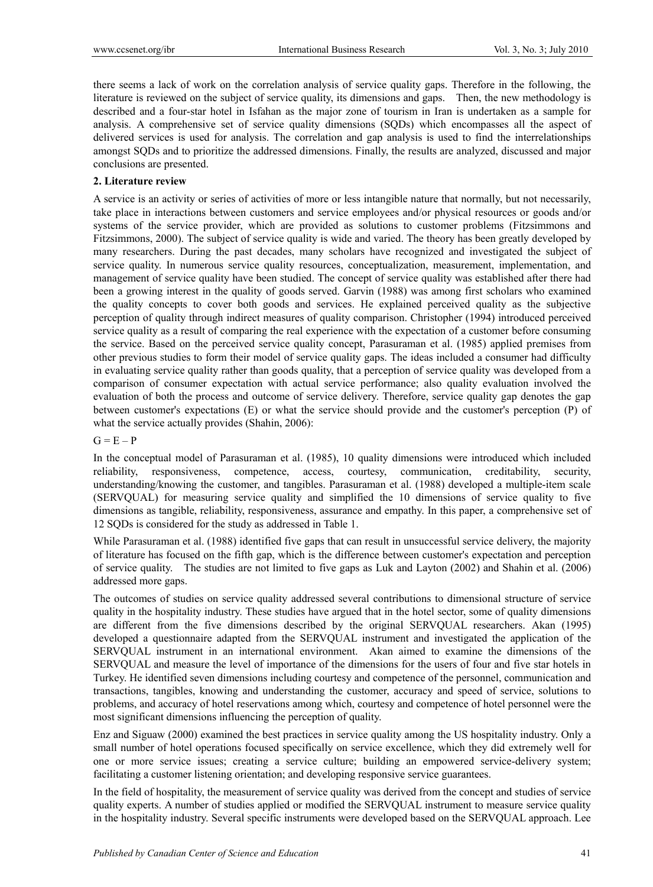there seems a lack of work on the correlation analysis of service quality gaps. Therefore in the following, the literature is reviewed on the subject of service quality, its dimensions and gaps. Then, the new methodology is described and a four-star hotel in Isfahan as the major zone of tourism in Iran is undertaken as a sample for analysis. A comprehensive set of service quality dimensions (SQDs) which encompasses all the aspect of delivered services is used for analysis. The correlation and gap analysis is used to find the interrelationships amongst SQDs and to prioritize the addressed dimensions. Finally, the results are analyzed, discussed and major conclusions are presented.

#### **2. Literature review**

A service is an activity or series of activities of more or less intangible nature that normally, but not necessarily, take place in interactions between customers and service employees and/or physical resources or goods and/or systems of the service provider, which are provided as solutions to customer problems (Fitzsimmons and Fitzsimmons, 2000). The subject of service quality is wide and varied. The theory has been greatly developed by many researchers. During the past decades, many scholars have recognized and investigated the subject of service quality. In numerous service quality resources, conceptualization, measurement, implementation, and management of service quality have been studied. The concept of service quality was established after there had been a growing interest in the quality of goods served. Garvin (1988) was among first scholars who examined the quality concepts to cover both goods and services. He explained perceived quality as the subjective perception of quality through indirect measures of quality comparison. Christopher (1994) introduced perceived service quality as a result of comparing the real experience with the expectation of a customer before consuming the service. Based on the perceived service quality concept, Parasuraman et al. (1985) applied premises from other previous studies to form their model of service quality gaps. The ideas included a consumer had difficulty in evaluating service quality rather than goods quality, that a perception of service quality was developed from a comparison of consumer expectation with actual service performance; also quality evaluation involved the evaluation of both the process and outcome of service delivery. Therefore, service quality gap denotes the gap between customer's expectations (E) or what the service should provide and the customer's perception (P) of what the service actually provides (Shahin, 2006):

 $G = E - P$ 

In the conceptual model of Parasuraman et al. (1985), 10 quality dimensions were introduced which included reliability, responsiveness, competence, access, courtesy, communication, creditability, security, understanding/knowing the customer, and tangibles. Parasuraman et al. (1988) developed a multiple-item scale (SERVQUAL) for measuring service quality and simplified the 10 dimensions of service quality to five dimensions as tangible, reliability, responsiveness, assurance and empathy. In this paper, a comprehensive set of 12 SQDs is considered for the study as addressed in Table 1.

While Parasuraman et al. (1988) identified five gaps that can result in unsuccessful service delivery, the majority of literature has focused on the fifth gap, which is the difference between customer's expectation and perception of service quality. The studies are not limited to five gaps as Luk and Layton (2002) and Shahin et al. (2006) addressed more gaps.

The outcomes of studies on service quality addressed several contributions to dimensional structure of service quality in the hospitality industry. These studies have argued that in the hotel sector, some of quality dimensions are different from the five dimensions described by the original SERVQUAL researchers. Akan (1995) developed a questionnaire adapted from the SERVQUAL instrument and investigated the application of the SERVQUAL instrument in an international environment. Akan aimed to examine the dimensions of the SERVQUAL and measure the level of importance of the dimensions for the users of four and five star hotels in Turkey. He identified seven dimensions including courtesy and competence of the personnel, communication and transactions, tangibles, knowing and understanding the customer, accuracy and speed of service, solutions to problems, and accuracy of hotel reservations among which, courtesy and competence of hotel personnel were the most significant dimensions influencing the perception of quality.

Enz and Siguaw (2000) examined the best practices in service quality among the US hospitality industry. Only a small number of hotel operations focused specifically on service excellence, which they did extremely well for one or more service issues; creating a service culture; building an empowered service-delivery system; facilitating a customer listening orientation; and developing responsive service guarantees.

In the field of hospitality, the measurement of service quality was derived from the concept and studies of service quality experts. A number of studies applied or modified the SERVQUAL instrument to measure service quality in the hospitality industry. Several specific instruments were developed based on the SERVQUAL approach. Lee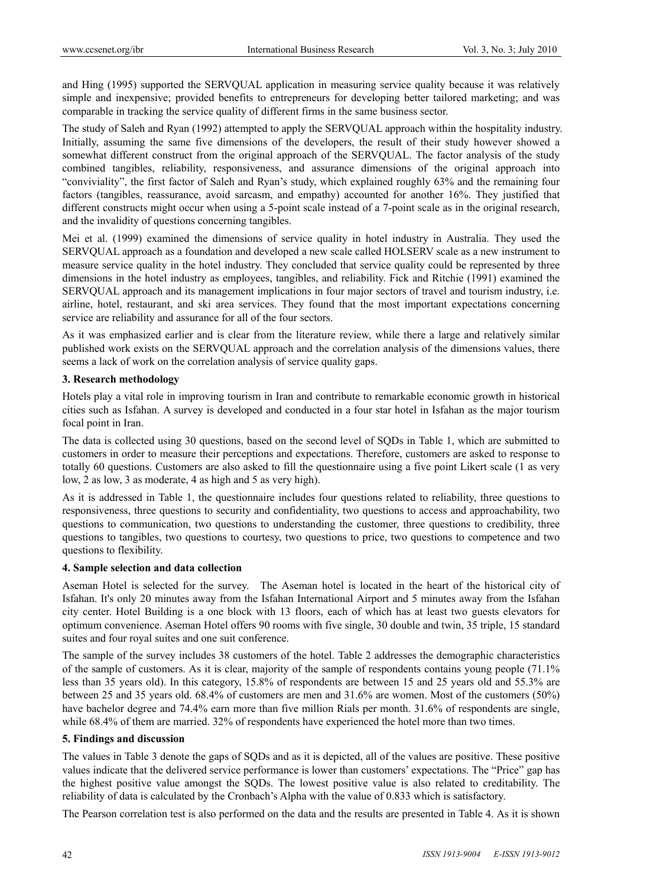and Hing (1995) supported the SERVQUAL application in measuring service quality because it was relatively simple and inexpensive; provided benefits to entrepreneurs for developing better tailored marketing; and was comparable in tracking the service quality of different firms in the same business sector.

The study of Saleh and Ryan (1992) attempted to apply the SERVQUAL approach within the hospitality industry. Initially, assuming the same five dimensions of the developers, the result of their study however showed a somewhat different construct from the original approach of the SERVQUAL. The factor analysis of the study combined tangibles, reliability, responsiveness, and assurance dimensions of the original approach into "conviviality", the first factor of Saleh and Ryan's study, which explained roughly 63% and the remaining four factors (tangibles, reassurance, avoid sarcasm, and empathy) accounted for another 16%. They justified that different constructs might occur when using a 5-point scale instead of a 7-point scale as in the original research, and the invalidity of questions concerning tangibles.

Mei et al. (1999) examined the dimensions of service quality in hotel industry in Australia. They used the SERVQUAL approach as a foundation and developed a new scale called HOLSERV scale as a new instrument to measure service quality in the hotel industry. They concluded that service quality could be represented by three dimensions in the hotel industry as employees, tangibles, and reliability. Fick and Ritchie (1991) examined the SERVQUAL approach and its management implications in four major sectors of travel and tourism industry, i.e. airline, hotel, restaurant, and ski area services. They found that the most important expectations concerning service are reliability and assurance for all of the four sectors.

As it was emphasized earlier and is clear from the literature review, while there a large and relatively similar published work exists on the SERVQUAL approach and the correlation analysis of the dimensions values, there seems a lack of work on the correlation analysis of service quality gaps.

#### **3. Research methodology**

Hotels play a vital role in improving tourism in Iran and contribute to remarkable economic growth in historical cities such as Isfahan. A survey is developed and conducted in a four star hotel in Isfahan as the major tourism focal point in Iran.

The data is collected using 30 questions, based on the second level of SQDs in Table 1, which are submitted to customers in order to measure their perceptions and expectations. Therefore, customers are asked to response to totally 60 questions. Customers are also asked to fill the questionnaire using a five point Likert scale (1 as very low, 2 as low, 3 as moderate, 4 as high and 5 as very high).

As it is addressed in Table 1, the questionnaire includes four questions related to reliability, three questions to responsiveness, three questions to security and confidentiality, two questions to access and approachability, two questions to communication, two questions to understanding the customer, three questions to credibility, three questions to tangibles, two questions to courtesy, two questions to price, two questions to competence and two questions to flexibility.

#### **4. Sample selection and data collection**

Aseman Hotel is selected for the survey. The Aseman hotel is located in the heart of the historical city of Isfahan. It's only 20 minutes away from the Isfahan International Airport and 5 minutes away from the Isfahan city center. Hotel Building is a one block with 13 floors, each of which has at least two guests elevators for optimum convenience. Aseman Hotel offers 90 rooms with five single, 30 double and twin, 35 triple, 15 standard suites and four royal suites and one suit conference.

The sample of the survey includes 38 customers of the hotel. Table 2 addresses the demographic characteristics of the sample of customers. As it is clear, majority of the sample of respondents contains young people (71.1% less than 35 years old). In this category, 15.8% of respondents are between 15 and 25 years old and 55.3% are between 25 and 35 years old. 68.4% of customers are men and 31.6% are women. Most of the customers (50%) have bachelor degree and 74.4% earn more than five million Rials per month. 31.6% of respondents are single, while 68.4% of them are married. 32% of respondents have experienced the hotel more than two times.

#### **5. Findings and discussion**

The values in Table 3 denote the gaps of SQDs and as it is depicted, all of the values are positive. These positive values indicate that the delivered service performance is lower than customers' expectations. The "Price" gap has the highest positive value amongst the SQDs. The lowest positive value is also related to creditability. The reliability of data is calculated by the Cronbach's Alpha with the value of 0.833 which is satisfactory.

The Pearson correlation test is also performed on the data and the results are presented in Table 4. As it is shown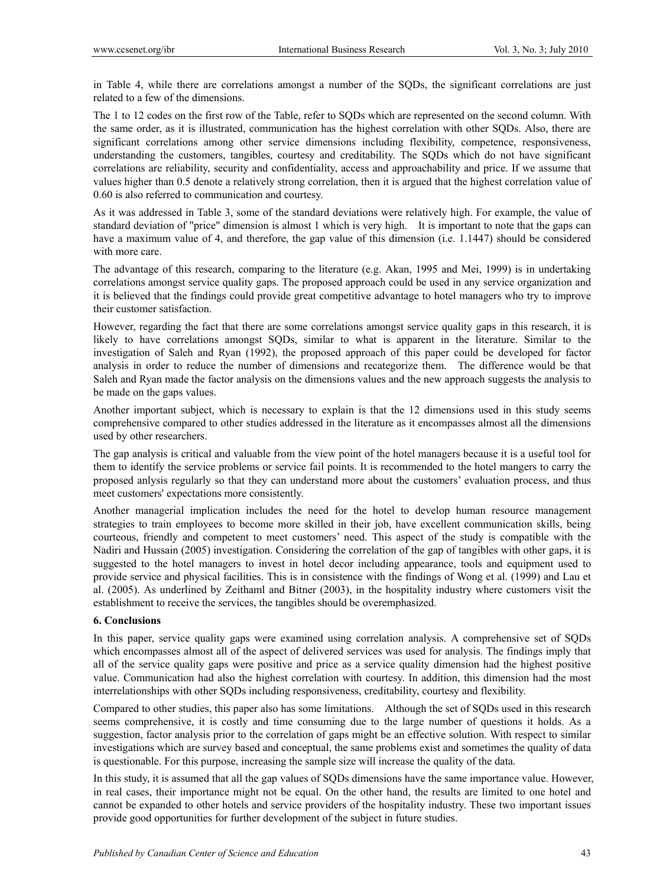in Table 4, while there are correlations amongst a number of the SQDs, the significant correlations are just related to a few of the dimensions.

The 1 to 12 codes on the first row of the Table, refer to SQDs which are represented on the second column. With the same order, as it is illustrated, communication has the highest correlation with other SQDs. Also, there are significant correlations among other service dimensions including flexibility, competence, responsiveness, understanding the customers, tangibles, courtesy and creditability. The SQDs which do not have significant correlations are reliability, security and confidentiality, access and approachability and price. If we assume that values higher than 0.5 denote a relatively strong correlation, then it is argued that the highest correlation value of 0.60 is also referred to communication and courtesy.

As it was addressed in Table 3, some of the standard deviations were relatively high. For example, the value of standard deviation of "price" dimension is almost 1 which is very high. It is important to note that the gaps can have a maximum value of 4, and therefore, the gap value of this dimension (i.e. 1.1447) should be considered with more care.

The advantage of this research, comparing to the literature (e.g. Akan, 1995 and Mei, 1999) is in undertaking correlations amongst service quality gaps. The proposed approach could be used in any service organization and it is believed that the findings could provide great competitive advantage to hotel managers who try to improve their customer satisfaction.

However, regarding the fact that there are some correlations amongst service quality gaps in this research, it is likely to have correlations amongst SQDs, similar to what is apparent in the literature. Similar to the investigation of Saleh and Ryan (1992), the proposed approach of this paper could be developed for factor analysis in order to reduce the number of dimensions and recategorize them. The difference would be that Saleh and Ryan made the factor analysis on the dimensions values and the new approach suggests the analysis to be made on the gaps values.

Another important subject, which is necessary to explain is that the 12 dimensions used in this study seems comprehensive compared to other studies addressed in the literature as it encompasses almost all the dimensions used by other researchers.

The gap analysis is critical and valuable from the view point of the hotel managers because it is a useful tool for them to identify the service problems or service fail points. It is recommended to the hotel mangers to carry the proposed anlysis regularly so that they can understand more about the customers' evaluation process, and thus meet customers' expectations more consistently.

Another managerial implication includes the need for the hotel to develop human resource management strategies to train employees to become more skilled in their job, have excellent communication skills, being courteous, friendly and competent to meet customers' need. This aspect of the study is compatible with the Nadiri and Hussain (2005) investigation. Considering the correlation of the gap of tangibles with other gaps, it is suggested to the hotel managers to invest in hotel decor including appearance, tools and equipment used to provide service and physical facilities. This is in consistence with the findings of Wong et al. (1999) and Lau et al. (2005). As underlined by Zeithaml and Bitner (2003), in the hospitality industry where customers visit the establishment to receive the services, the tangibles should be overemphasized.

#### **6. Conclusions**

In this paper, service quality gaps were examined using correlation analysis. A comprehensive set of SQDs which encompasses almost all of the aspect of delivered services was used for analysis. The findings imply that all of the service quality gaps were positive and price as a service quality dimension had the highest positive value. Communication had also the highest correlation with courtesy. In addition, this dimension had the most interrelationships with other SQDs including responsiveness, creditability, courtesy and flexibility.

Compared to other studies, this paper also has some limitations. Although the set of SQDs used in this research seems comprehensive, it is costly and time consuming due to the large number of questions it holds. As a suggestion, factor analysis prior to the correlation of gaps might be an effective solution. With respect to similar investigations which are survey based and conceptual, the same problems exist and sometimes the quality of data is questionable. For this purpose, increasing the sample size will increase the quality of the data.

In this study, it is assumed that all the gap values of SQDs dimensions have the same importance value. However, in real cases, their importance might not be equal. On the other hand, the results are limited to one hotel and cannot be expanded to other hotels and service providers of the hospitality industry. These two important issues provide good opportunities for further development of the subject in future studies.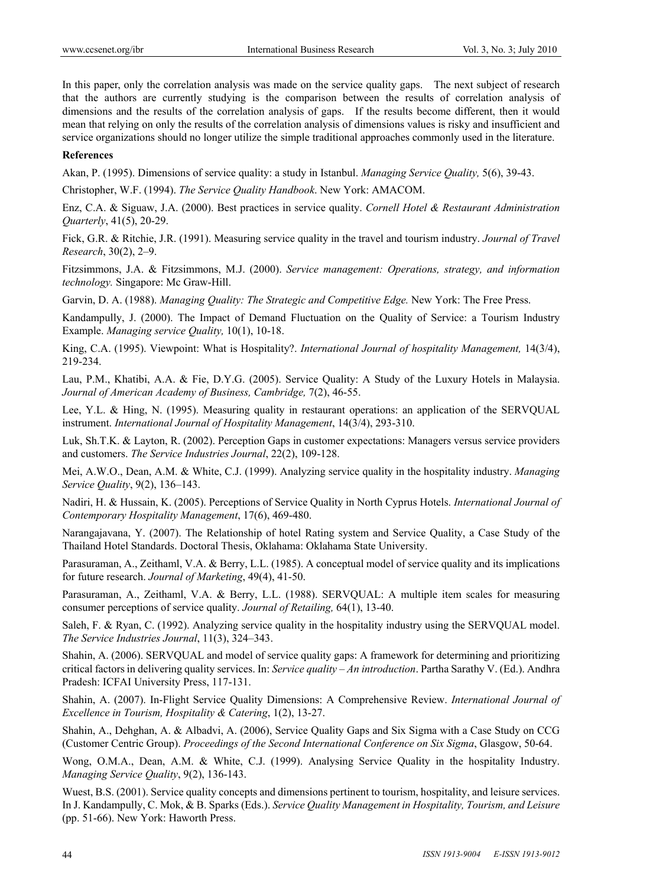In this paper, only the correlation analysis was made on the service quality gaps. The next subject of research that the authors are currently studying is the comparison between the results of correlation analysis of dimensions and the results of the correlation analysis of gaps. If the results become different, then it would mean that relying on only the results of the correlation analysis of dimensions values is risky and insufficient and service organizations should no longer utilize the simple traditional approaches commonly used in the literature.

#### **References**

Akan, P. (1995). Dimensions of service quality: a study in Istanbul. *Managing Service Quality,* 5(6), 39-43.

Christopher, W.F. (1994). *The Service Quality Handbook*. New York: AMACOM.

Enz, C.A. & Siguaw, J.A. (2000). Best practices in service quality. *Cornell Hotel & Restaurant Administration Quarterly*, 41(5), 20-29.

Fick, G.R. & Ritchie, J.R. (1991). Measuring service quality in the travel and tourism industry. *Journal of Travel Research*, 30(2), 2–9.

Fitzsimmons, J.A. & Fitzsimmons, M.J. (2000). *Service management: Operations, strategy, and information technology.* Singapore: Mc Graw-Hill.

Garvin, D. A. (1988). *Managing Quality: The Strategic and Competitive Edge.* New York: The Free Press.

Kandampully, J. (2000). The Impact of Demand Fluctuation on the Quality of Service: a Tourism Industry Example. *Managing service Quality,* 10(1), 10-18.

King, C.A. (1995). Viewpoint: What is Hospitality?. *International Journal of hospitality Management,* 14(3/4), 219-234.

Lau, P.M., Khatibi, A.A. & Fie, D.Y.G. (2005). Service Quality: A Study of the Luxury Hotels in Malaysia. *Journal of American Academy of Business, Cambridge,* 7(2), 46-55.

Lee, Y.L. & Hing, N. (1995). Measuring quality in restaurant operations: an application of the SERVQUAL instrument. *International Journal of Hospitality Management*, 14(3/4), 293-310.

Luk, Sh.T.K. & Layton, R. (2002). Perception Gaps in customer expectations: Managers versus service providers and customers. *The Service Industries Journal*, 22(2), 109-128.

Mei, A.W.O., Dean, A.M. & White, C.J. (1999). Analyzing service quality in the hospitality industry. *Managing Service Quality*, 9(2), 136–143.

Nadiri, H. & Hussain, K. (2005). Perceptions of Service Quality in North Cyprus Hotels. *International Journal of Contemporary Hospitality Management*, 17(6), 469-480.

Narangajavana, Y. (2007). The Relationship of hotel Rating system and Service Quality, a Case Study of the Thailand Hotel Standards. Doctoral Thesis, Oklahama: Oklahama State University.

Parasuraman, A., Zeithaml, V.A. & Berry, L.L. (1985). A conceptual model of service quality and its implications for future research. *Journal of Marketing*, 49(4), 41-50.

Parasuraman, A., Zeithaml, V.A. & Berry, L.L. (1988). SERVQUAL: A multiple item scales for measuring consumer perceptions of service quality. *Journal of Retailing,* 64(1), 13-40.

Saleh, F. & Ryan, C. (1992). Analyzing service quality in the hospitality industry using the SERVQUAL model. *The Service Industries Journal*, 11(3), 324–343.

Shahin, A. (2006). SERVQUAL and model of service quality gaps: A framework for determining and prioritizing critical factors in delivering quality services. In: *Service quality – An introduction*. Partha Sarathy V. (Ed.). Andhra Pradesh: ICFAI University Press, 117-131.

Shahin, A. (2007). In-Flight Service Quality Dimensions: A Comprehensive Review. *International Journal of Excellence in Tourism, Hospitality & Catering*, 1(2), 13-27.

Shahin, A., Dehghan, A. & Albadvi, A. (2006), Service Quality Gaps and Six Sigma with a Case Study on CCG (Customer Centric Group). *Proceedings of the Second International Conference on Six Sigma*, Glasgow, 50-64.

Wong, O.M.A., Dean, A.M. & White, C.J. (1999). Analysing Service Quality in the hospitality Industry. *Managing Service Quality*, 9(2), 136-143.

Wuest, B.S. (2001). Service quality concepts and dimensions pertinent to tourism, hospitality, and leisure services. In J. Kandampully, C. Mok, & B. Sparks (Eds.). *Service Quality Management in Hospitality, Tourism, and Leisure* (pp. 51-66). New York: Haworth Press.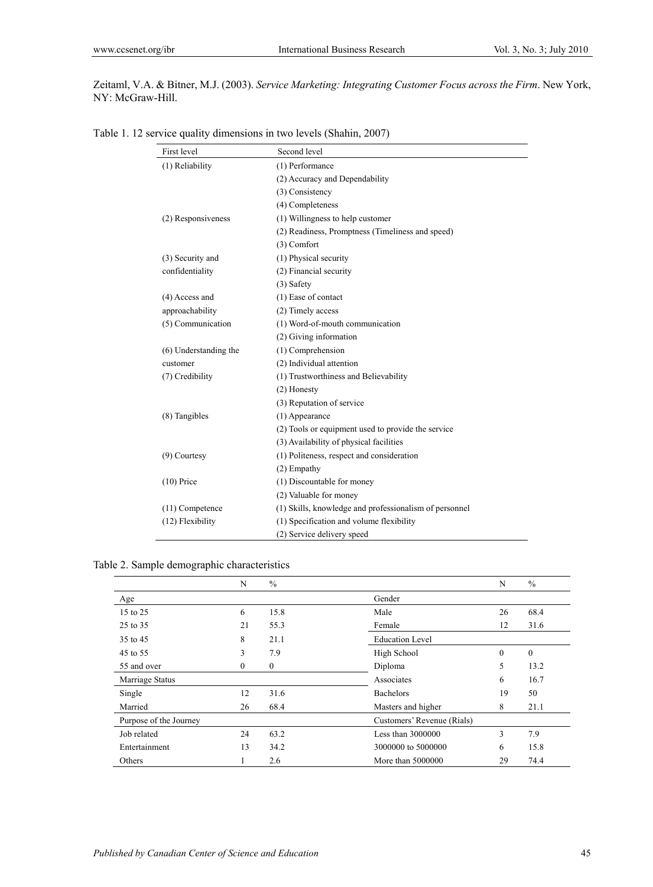Zeitaml, V.A. & Bitner, M.J. (2003). *Service Marketing: Integrating Customer Focus across the Firm*. New York, NY: McGraw-Hill.

|  |  | Table 1. 12 service quality dimensions in two levels (Shahin, 2007) |  |  |  |
|--|--|---------------------------------------------------------------------|--|--|--|
|  |  |                                                                     |  |  |  |

| First level           | Second level                                           |
|-----------------------|--------------------------------------------------------|
| (1) Reliability       | (1) Performance                                        |
|                       | (2) Accuracy and Dependability                         |
|                       | (3) Consistency                                        |
|                       | (4) Completeness                                       |
| (2) Responsiveness    | (1) Willingness to help customer                       |
|                       | (2) Readiness, Promptness (Timeliness and speed)       |
|                       | (3) Comfort                                            |
| (3) Security and      | (1) Physical security                                  |
| confidentiality       | (2) Financial security                                 |
|                       | $(3)$ Safety                                           |
| $(4)$ Access and      | (1) Ease of contact                                    |
| approachability       | (2) Timely access                                      |
| (5) Communication     | (1) Word-of-mouth communication                        |
|                       | (2) Giving information                                 |
| (6) Understanding the | (1) Comprehension                                      |
| customer              | (2) Individual attention                               |
| (7) Credibility       | (1) Trustworthiness and Believability                  |
|                       | (2) Honesty                                            |
|                       | (3) Reputation of service                              |
| (8) Tangibles         | (1) Appearance                                         |
|                       | (2) Tools or equipment used to provide the service     |
|                       | (3) Availability of physical facilities                |
| $(9)$ Courtesy        | (1) Politeness, respect and consideration              |
|                       | $(2)$ Empathy                                          |
| $(10)$ Price          | (1) Discountable for money                             |
|                       | (2) Valuable for money                                 |
| (11) Competence       | (1) Skills, knowledge and professionalism of personnel |
| (12) Flexibility      | (1) Specification and volume flexibility               |
|                       | (2) Service delivery speed                             |

Table 2. Sample demographic characteristics

|                        | N  | $\frac{0}{0}$    |                            | N        | $\%$     |
|------------------------|----|------------------|----------------------------|----------|----------|
| Age                    |    |                  | Gender                     |          |          |
| 15 to 25               | 6  | 15.8             | Male                       | 26       | 68.4     |
| 25 to 35               | 21 | 55.3             | Female                     | 12       | 31.6     |
| 35 to 45               | 8  | 21.1             | <b>Education Level</b>     |          |          |
| 45 to 55               | 3  | 7.9              | High School                | $\theta$ | $\theta$ |
| 55 and over            | 0  | $\boldsymbol{0}$ | Diploma                    | 5        | 13.2     |
| Marriage Status        |    |                  | Associates                 | 6        | 16.7     |
| Single                 | 12 | 31.6             | <b>Bachelors</b>           | 19       | 50       |
| Married                | 26 | 68.4             | Masters and higher         | 8        | 21.1     |
| Purpose of the Journey |    |                  | Customers' Revenue (Rials) |          |          |
| Job related            | 24 | 63.2             | Less than $3000000$        | 3        | 7.9      |
| Entertainment          | 13 | 34.2             | 3000000 to 5000000         | 6        | 15.8     |
| Others                 |    | 2.6              | More than 5000000          | 29       | 74.4     |